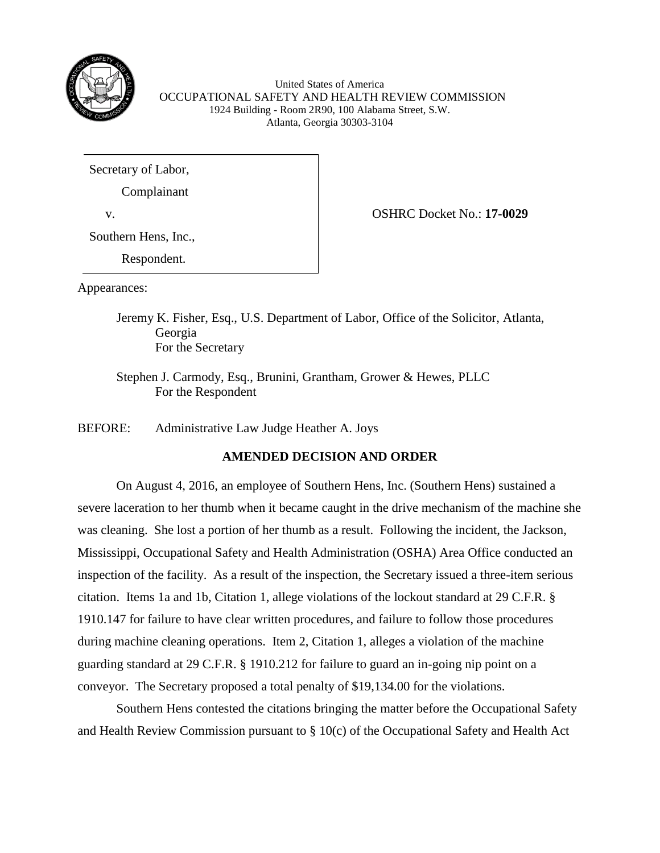

United States of America OCCUPATIONAL SAFETY AND HEALTH REVIEW COMMISSION 1924 Building - Room 2R90, 100 Alabama Street, S.W. Atlanta, Georgia 30303-3104

Secretary of Labor,

Complainant

Southern Hens, Inc.,

Respondent.

v. OSHRC Docket No.: **17-0029**

Appearances:

Jeremy K. Fisher, Esq., U.S. Department of Labor, Office of the Solicitor, Atlanta, Georgia For the Secretary

Stephen J. Carmody, Esq., Brunini, Grantham, Grower & Hewes, PLLC For the Respondent

BEFORE: Administrative Law Judge Heather A. Joys

# **AMENDED DECISION AND ORDER**

On August 4, 2016, an employee of Southern Hens, Inc. (Southern Hens) sustained a severe laceration to her thumb when it became caught in the drive mechanism of the machine she was cleaning. She lost a portion of her thumb as a result. Following the incident, the Jackson, Mississippi, Occupational Safety and Health Administration (OSHA) Area Office conducted an inspection of the facility. As a result of the inspection, the Secretary issued a three-item serious citation. Items 1a and 1b, Citation 1, allege violations of the lockout standard at 29 C.F.R. § 1910.147 for failure to have clear written procedures, and failure to follow those procedures during machine cleaning operations. Item 2, Citation 1, alleges a violation of the machine guarding standard at 29 C.F.R. § 1910.212 for failure to guard an in-going nip point on a conveyor. The Secretary proposed a total penalty of \$19,134.00 for the violations.

Southern Hens contested the citations bringing the matter before the Occupational Safety and Health Review Commission pursuant to § 10(c) of the Occupational Safety and Health Act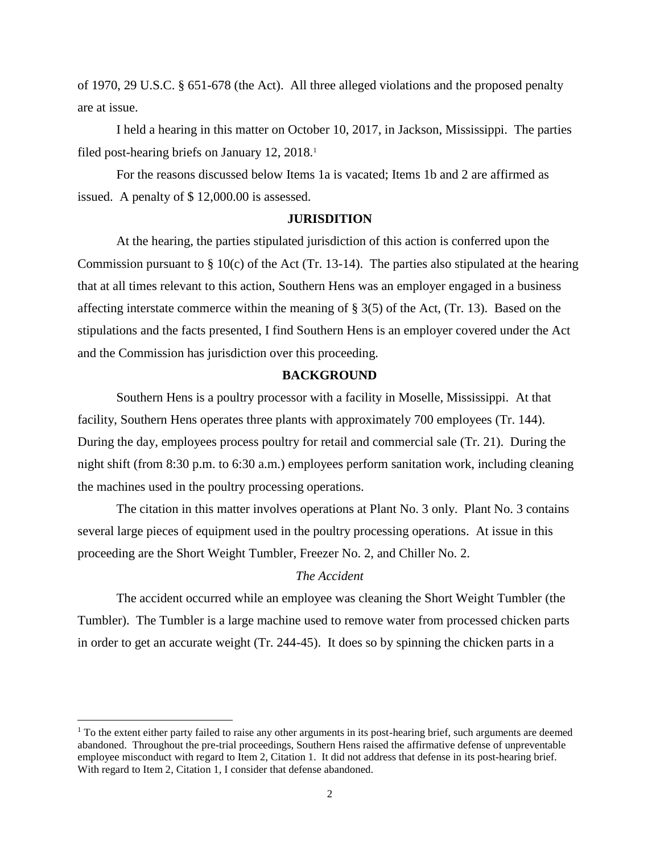of 1970, 29 U.S.C. § 651-678 (the Act). All three alleged violations and the proposed penalty are at issue.

I held a hearing in this matter on October 10, 2017, in Jackson, Mississippi. The parties filed post-hearing briefs on January 12, 2018.<sup>1</sup>

For the reasons discussed below Items 1a is vacated; Items 1b and 2 are affirmed as issued. A penalty of \$ 12,000.00 is assessed.

#### **JURISDITION**

At the hearing, the parties stipulated jurisdiction of this action is conferred upon the Commission pursuant to  $\S 10(c)$  of the Act (Tr. 13-14). The parties also stipulated at the hearing that at all times relevant to this action, Southern Hens was an employer engaged in a business affecting interstate commerce within the meaning of § 3(5) of the Act, (Tr. 13). Based on the stipulations and the facts presented, I find Southern Hens is an employer covered under the Act and the Commission has jurisdiction over this proceeding.

### **BACKGROUND**

Southern Hens is a poultry processor with a facility in Moselle, Mississippi. At that facility, Southern Hens operates three plants with approximately 700 employees (Tr. 144). During the day, employees process poultry for retail and commercial sale (Tr. 21). During the night shift (from 8:30 p.m. to 6:30 a.m.) employees perform sanitation work, including cleaning the machines used in the poultry processing operations.

The citation in this matter involves operations at Plant No. 3 only. Plant No. 3 contains several large pieces of equipment used in the poultry processing operations. At issue in this proceeding are the Short Weight Tumbler, Freezer No. 2, and Chiller No. 2.

# *The Accident*

The accident occurred while an employee was cleaning the Short Weight Tumbler (the Tumbler). The Tumbler is a large machine used to remove water from processed chicken parts in order to get an accurate weight (Tr. 244-45). It does so by spinning the chicken parts in a

 $<sup>1</sup>$  To the extent either party failed to raise any other arguments in its post-hearing brief, such arguments are deemed</sup> abandoned. Throughout the pre-trial proceedings, Southern Hens raised the affirmative defense of unpreventable employee misconduct with regard to Item 2, Citation 1. It did not address that defense in its post-hearing brief. With regard to Item 2, Citation 1, I consider that defense abandoned.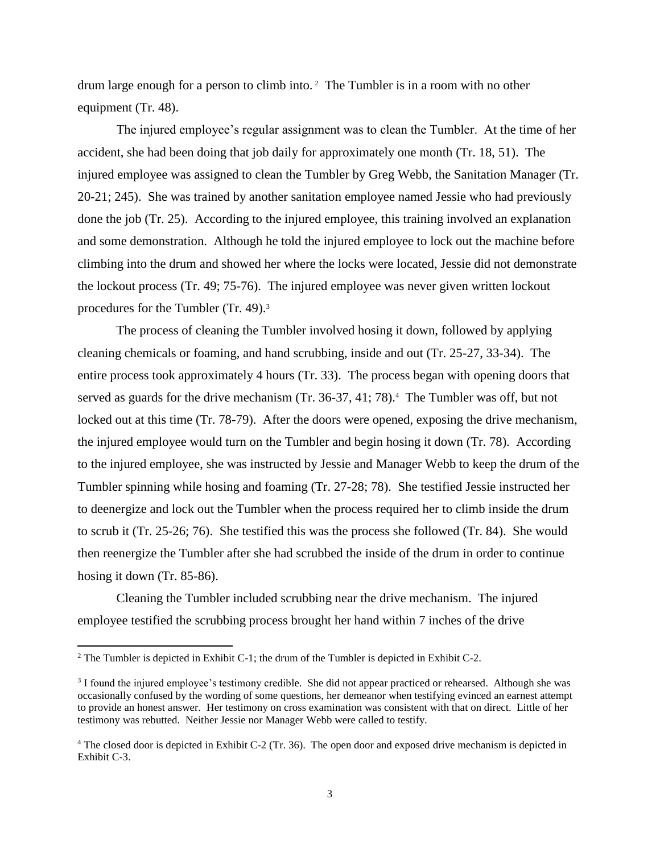drum large enough for a person to climb into. <sup>2</sup> The Tumbler is in a room with no other equipment (Tr. 48).

The injured employee's regular assignment was to clean the Tumbler. At the time of her accident, she had been doing that job daily for approximately one month (Tr. 18, 51). The injured employee was assigned to clean the Tumbler by Greg Webb, the Sanitation Manager (Tr. 20-21; 245). She was trained by another sanitation employee named Jessie who had previously done the job (Tr. 25). According to the injured employee, this training involved an explanation and some demonstration. Although he told the injured employee to lock out the machine before climbing into the drum and showed her where the locks were located, Jessie did not demonstrate the lockout process (Tr. 49; 75-76). The injured employee was never given written lockout procedures for the Tumbler (Tr. 49).<sup>3</sup>

The process of cleaning the Tumbler involved hosing it down, followed by applying cleaning chemicals or foaming, and hand scrubbing, inside and out (Tr. 25-27, 33-34). The entire process took approximately 4 hours (Tr. 33). The process began with opening doors that served as guards for the drive mechanism (Tr. 36-37, 41; 78).<sup>4</sup> The Tumbler was off, but not locked out at this time (Tr. 78-79). After the doors were opened, exposing the drive mechanism, the injured employee would turn on the Tumbler and begin hosing it down (Tr. 78). According to the injured employee, she was instructed by Jessie and Manager Webb to keep the drum of the Tumbler spinning while hosing and foaming (Tr. 27-28; 78). She testified Jessie instructed her to deenergize and lock out the Tumbler when the process required her to climb inside the drum to scrub it (Tr. 25-26; 76). She testified this was the process she followed (Tr. 84). She would then reenergize the Tumbler after she had scrubbed the inside of the drum in order to continue hosing it down (Tr. 85-86).

Cleaning the Tumbler included scrubbing near the drive mechanism. The injured employee testified the scrubbing process brought her hand within 7 inches of the drive

<sup>&</sup>lt;sup>2</sup> The Tumbler is depicted in Exhibit C-1; the drum of the Tumbler is depicted in Exhibit C-2.

<sup>&</sup>lt;sup>3</sup> I found the injured employee's testimony credible. She did not appear practiced or rehearsed. Although she was occasionally confused by the wording of some questions, her demeanor when testifying evinced an earnest attempt to provide an honest answer. Her testimony on cross examination was consistent with that on direct. Little of her testimony was rebutted. Neither Jessie nor Manager Webb were called to testify.

<sup>4</sup> The closed door is depicted in Exhibit C-2 (Tr. 36). The open door and exposed drive mechanism is depicted in Exhibit C-3.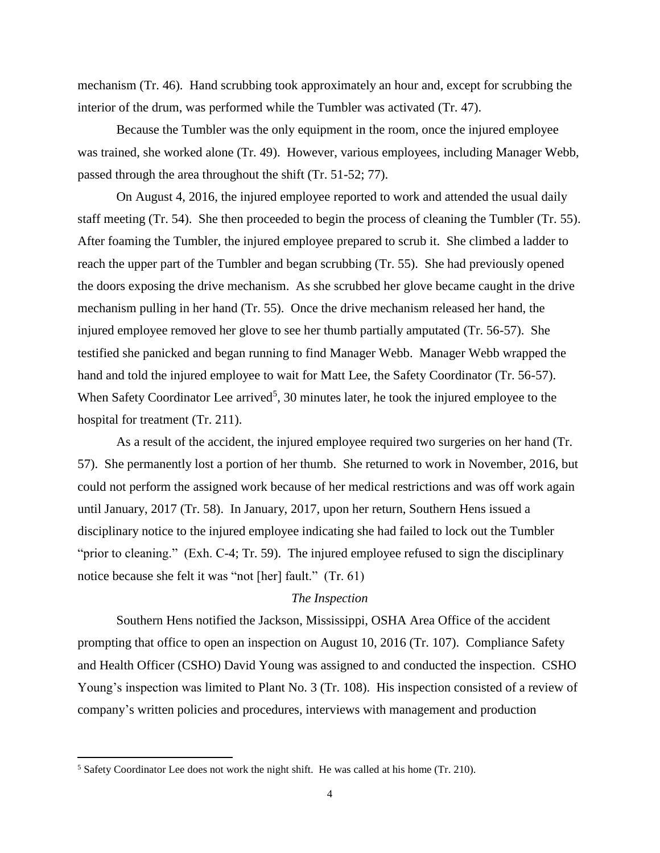mechanism (Tr. 46). Hand scrubbing took approximately an hour and, except for scrubbing the interior of the drum, was performed while the Tumbler was activated (Tr. 47).

Because the Tumbler was the only equipment in the room, once the injured employee was trained, she worked alone (Tr. 49). However, various employees, including Manager Webb, passed through the area throughout the shift (Tr. 51-52; 77).

On August 4, 2016, the injured employee reported to work and attended the usual daily staff meeting (Tr. 54). She then proceeded to begin the process of cleaning the Tumbler (Tr. 55). After foaming the Tumbler, the injured employee prepared to scrub it. She climbed a ladder to reach the upper part of the Tumbler and began scrubbing (Tr. 55). She had previously opened the doors exposing the drive mechanism. As she scrubbed her glove became caught in the drive mechanism pulling in her hand (Tr. 55). Once the drive mechanism released her hand, the injured employee removed her glove to see her thumb partially amputated (Tr. 56-57). She testified she panicked and began running to find Manager Webb. Manager Webb wrapped the hand and told the injured employee to wait for Matt Lee, the Safety Coordinator (Tr. 56-57). When Safety Coordinator Lee arrived<sup>5</sup>, 30 minutes later, he took the injured employee to the hospital for treatment (Tr. 211).

As a result of the accident, the injured employee required two surgeries on her hand (Tr. 57). She permanently lost a portion of her thumb. She returned to work in November, 2016, but could not perform the assigned work because of her medical restrictions and was off work again until January, 2017 (Tr. 58). In January, 2017, upon her return, Southern Hens issued a disciplinary notice to the injured employee indicating she had failed to lock out the Tumbler "prior to cleaning." (Exh. C-4; Tr. 59). The injured employee refused to sign the disciplinary notice because she felt it was "not [her] fault." (Tr. 61)

# *The Inspection*

Southern Hens notified the Jackson, Mississippi, OSHA Area Office of the accident prompting that office to open an inspection on August 10, 2016 (Tr. 107). Compliance Safety and Health Officer (CSHO) David Young was assigned to and conducted the inspection. CSHO Young's inspection was limited to Plant No. 3 (Tr. 108). His inspection consisted of a review of company's written policies and procedures, interviews with management and production

 $\overline{\phantom{a}}$ 

<sup>&</sup>lt;sup>5</sup> Safety Coordinator Lee does not work the night shift. He was called at his home (Tr. 210).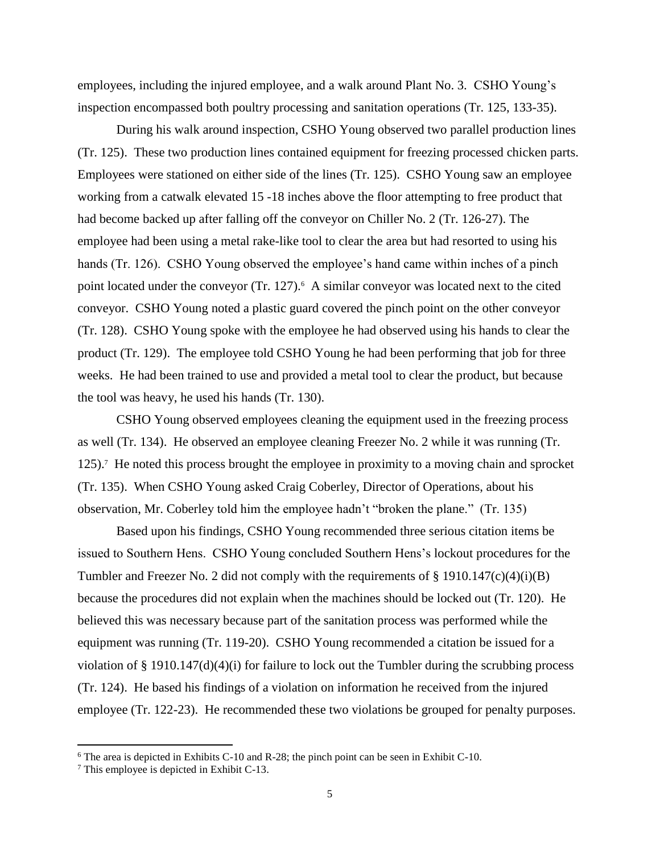employees, including the injured employee, and a walk around Plant No. 3. CSHO Young's inspection encompassed both poultry processing and sanitation operations (Tr. 125, 133-35).

During his walk around inspection, CSHO Young observed two parallel production lines (Tr. 125). These two production lines contained equipment for freezing processed chicken parts. Employees were stationed on either side of the lines (Tr. 125). CSHO Young saw an employee working from a catwalk elevated 15 -18 inches above the floor attempting to free product that had become backed up after falling off the conveyor on Chiller No. 2 (Tr. 126-27). The employee had been using a metal rake-like tool to clear the area but had resorted to using his hands (Tr. 126). CSHO Young observed the employee's hand came within inches of a pinch point located under the conveyor (Tr. 127).<sup>6</sup> A similar conveyor was located next to the cited conveyor. CSHO Young noted a plastic guard covered the pinch point on the other conveyor (Tr. 128). CSHO Young spoke with the employee he had observed using his hands to clear the product (Tr. 129). The employee told CSHO Young he had been performing that job for three weeks. He had been trained to use and provided a metal tool to clear the product, but because the tool was heavy, he used his hands (Tr. 130).

CSHO Young observed employees cleaning the equipment used in the freezing process as well (Tr. 134). He observed an employee cleaning Freezer No. 2 while it was running (Tr. 125).<sup>7</sup> He noted this process brought the employee in proximity to a moving chain and sprocket (Tr. 135). When CSHO Young asked Craig Coberley, Director of Operations, about his observation, Mr. Coberley told him the employee hadn't "broken the plane." (Tr. 135)

Based upon his findings, CSHO Young recommended three serious citation items be issued to Southern Hens. CSHO Young concluded Southern Hens's lockout procedures for the Tumbler and Freezer No. 2 did not comply with the requirements of  $\S$  1910.147(c)(4)(i)(B) because the procedures did not explain when the machines should be locked out (Tr. 120). He believed this was necessary because part of the sanitation process was performed while the equipment was running (Tr. 119-20). CSHO Young recommended a citation be issued for a violation of  $\S$  1910.147(d)(4)(i) for failure to lock out the Tumbler during the scrubbing process (Tr. 124). He based his findings of a violation on information he received from the injured employee (Tr. 122-23). He recommended these two violations be grouped for penalty purposes.

<sup>6</sup> The area is depicted in Exhibits C-10 and R-28; the pinch point can be seen in Exhibit C-10.

<sup>7</sup> This employee is depicted in Exhibit C-13.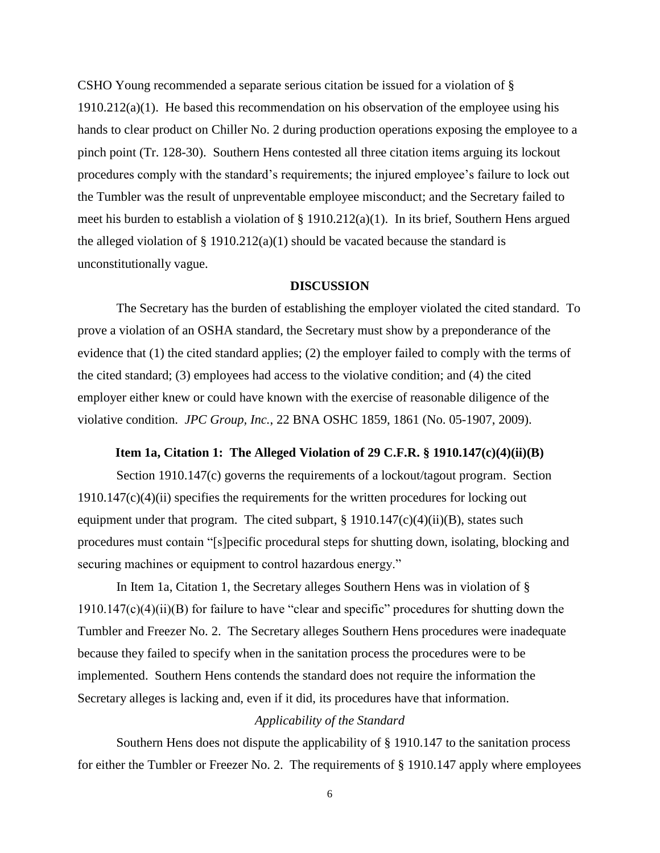CSHO Young recommended a separate serious citation be issued for a violation of §  $1910.212(a)(1)$ . He based this recommendation on his observation of the employee using his hands to clear product on Chiller No. 2 during production operations exposing the employee to a pinch point (Tr. 128-30). Southern Hens contested all three citation items arguing its lockout procedures comply with the standard's requirements; the injured employee's failure to lock out the Tumbler was the result of unpreventable employee misconduct; and the Secretary failed to meet his burden to establish a violation of § 1910.212(a)(1). In its brief, Southern Hens argued the alleged violation of § 1910.212(a)(1) should be vacated because the standard is unconstitutionally vague.

### **DISCUSSION**

The Secretary has the burden of establishing the employer violated the cited standard. To prove a violation of an OSHA standard, the Secretary must show by a preponderance of the evidence that (1) the cited standard applies; (2) the employer failed to comply with the terms of the cited standard; (3) employees had access to the violative condition; and (4) the cited employer either knew or could have known with the exercise of reasonable diligence of the violative condition. *JPC Group, Inc.*, 22 BNA OSHC 1859, 1861 (No. 05-1907, 2009).

#### **Item 1a, Citation 1: The Alleged Violation of 29 C.F.R. § 1910.147(c)(4)(ii)(B)**

Section 1910.147(c) governs the requirements of a lockout/tagout program. Section  $1910.147(c)(4)(ii)$  specifies the requirements for the written procedures for locking out equipment under that program. The cited subpart,  $\S$  1910.147(c)(4)(ii)(B), states such procedures must contain "[s]pecific procedural steps for shutting down, isolating, blocking and securing machines or equipment to control hazardous energy."

In Item 1a, Citation 1, the Secretary alleges Southern Hens was in violation of § 1910.147(c)(4)(ii)(B) for failure to have "clear and specific" procedures for shutting down the Tumbler and Freezer No. 2. The Secretary alleges Southern Hens procedures were inadequate because they failed to specify when in the sanitation process the procedures were to be implemented. Southern Hens contends the standard does not require the information the Secretary alleges is lacking and, even if it did, its procedures have that information.

#### *Applicability of the Standard*

Southern Hens does not dispute the applicability of § 1910.147 to the sanitation process for either the Tumbler or Freezer No. 2. The requirements of § 1910.147 apply where employees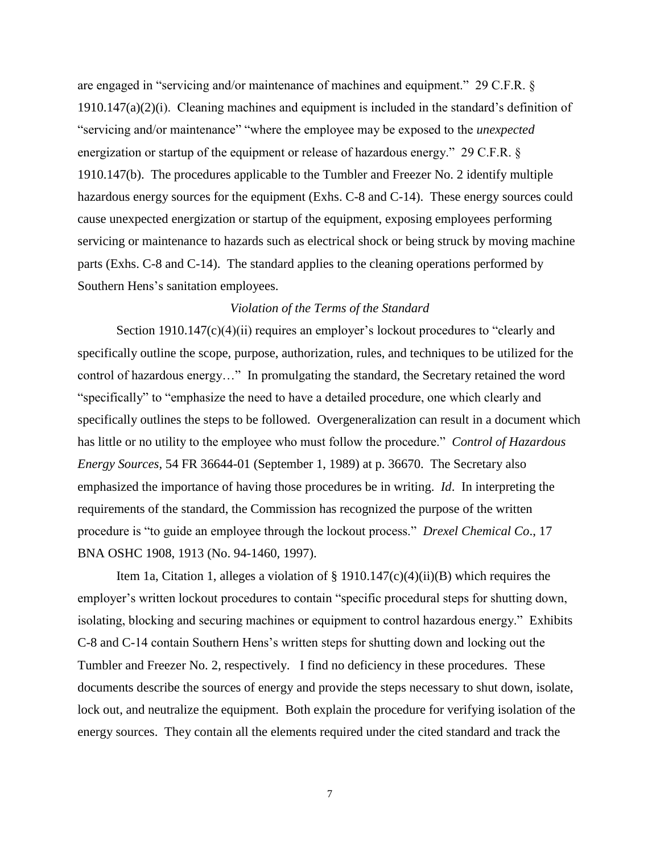are engaged in "servicing and/or maintenance of machines and equipment." 29 C.F.R. §  $1910.147(a)(2)(i)$ . Cleaning machines and equipment is included in the standard's definition of "servicing and/or maintenance" "where the employee may be exposed to the *unexpected*  energization or startup of the equipment or release of hazardous energy." 29 C.F.R. § 1910.147(b). The procedures applicable to the Tumbler and Freezer No. 2 identify multiple hazardous energy sources for the equipment (Exhs. C-8 and C-14). These energy sources could cause unexpected energization or startup of the equipment, exposing employees performing servicing or maintenance to hazards such as electrical shock or being struck by moving machine parts (Exhs. C-8 and C-14). The standard applies to the cleaning operations performed by Southern Hens's sanitation employees.

## *Violation of the Terms of the Standard*

Section 1910.147(c)(4)(ii) requires an employer's lockout procedures to "clearly and specifically outline the scope, purpose, authorization, rules, and techniques to be utilized for the control of hazardous energy…" In promulgating the standard, the Secretary retained the word "specifically" to "emphasize the need to have a detailed procedure, one which clearly and specifically outlines the steps to be followed. Overgeneralization can result in a document which has little or no utility to the employee who must follow the procedure." *Control of Hazardous Energy Sources*, 54 FR 36644-01 (September 1, 1989) at p. 36670. The Secretary also emphasized the importance of having those procedures be in writing. *Id*. In interpreting the requirements of the standard, the Commission has recognized the purpose of the written procedure is "to guide an employee through the lockout process." *Drexel Chemical Co*., 17 BNA OSHC 1908, 1913 (No. 94-1460, 1997).

Item 1a, Citation 1, alleges a violation of § 1910.147(c)(4)(ii)(B) which requires the employer's written lockout procedures to contain "specific procedural steps for shutting down, isolating, blocking and securing machines or equipment to control hazardous energy." Exhibits C-8 and C-14 contain Southern Hens's written steps for shutting down and locking out the Tumbler and Freezer No. 2, respectively. I find no deficiency in these procedures. These documents describe the sources of energy and provide the steps necessary to shut down, isolate, lock out, and neutralize the equipment. Both explain the procedure for verifying isolation of the energy sources. They contain all the elements required under the cited standard and track the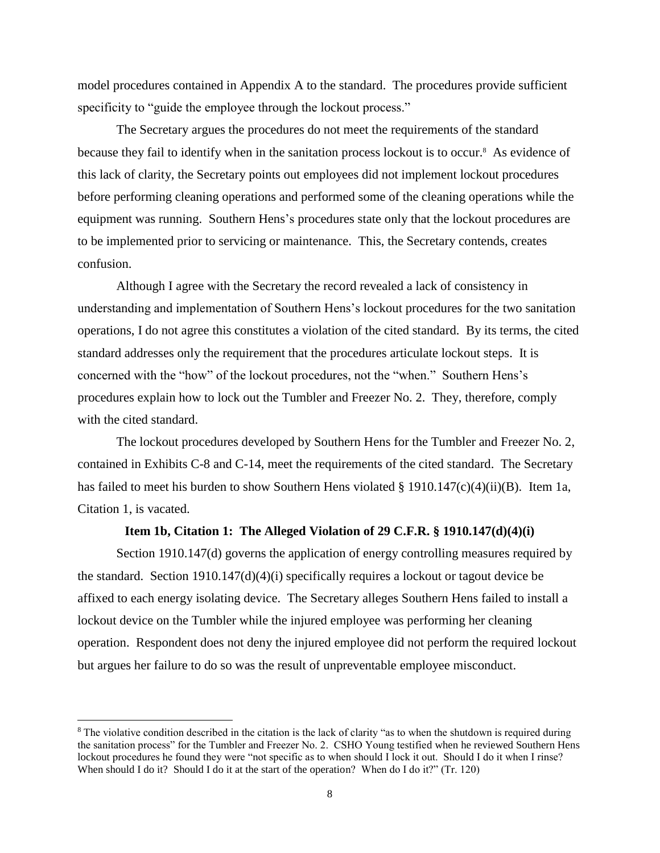model procedures contained in Appendix A to the standard. The procedures provide sufficient specificity to "guide the employee through the lockout process."

The Secretary argues the procedures do not meet the requirements of the standard because they fail to identify when in the sanitation process lockout is to occur.<sup>8</sup> As evidence of this lack of clarity, the Secretary points out employees did not implement lockout procedures before performing cleaning operations and performed some of the cleaning operations while the equipment was running. Southern Hens's procedures state only that the lockout procedures are to be implemented prior to servicing or maintenance. This, the Secretary contends, creates confusion.

Although I agree with the Secretary the record revealed a lack of consistency in understanding and implementation of Southern Hens's lockout procedures for the two sanitation operations, I do not agree this constitutes a violation of the cited standard. By its terms, the cited standard addresses only the requirement that the procedures articulate lockout steps. It is concerned with the "how" of the lockout procedures, not the "when." Southern Hens's procedures explain how to lock out the Tumbler and Freezer No. 2. They, therefore, comply with the cited standard.

The lockout procedures developed by Southern Hens for the Tumbler and Freezer No. 2, contained in Exhibits C-8 and C-14, meet the requirements of the cited standard. The Secretary has failed to meet his burden to show Southern Hens violated  $\S$  1910.147(c)(4)(ii)(B). Item 1a, Citation 1, is vacated.

### **Item 1b, Citation 1: The Alleged Violation of 29 C.F.R. § 1910.147(d)(4)(i)**

Section 1910.147(d) governs the application of energy controlling measures required by the standard. Section 1910.147(d)(4)(i) specifically requires a lockout or tagout device be affixed to each energy isolating device. The Secretary alleges Southern Hens failed to install a lockout device on the Tumbler while the injured employee was performing her cleaning operation. Respondent does not deny the injured employee did not perform the required lockout but argues her failure to do so was the result of unpreventable employee misconduct.

<sup>&</sup>lt;sup>8</sup> The violative condition described in the citation is the lack of clarity "as to when the shutdown is required during the sanitation process" for the Tumbler and Freezer No. 2. CSHO Young testified when he reviewed Southern Hens lockout procedures he found they were "not specific as to when should I lock it out. Should I do it when I rinse? When should I do it? Should I do it at the start of the operation? When do I do it?" (Tr. 120)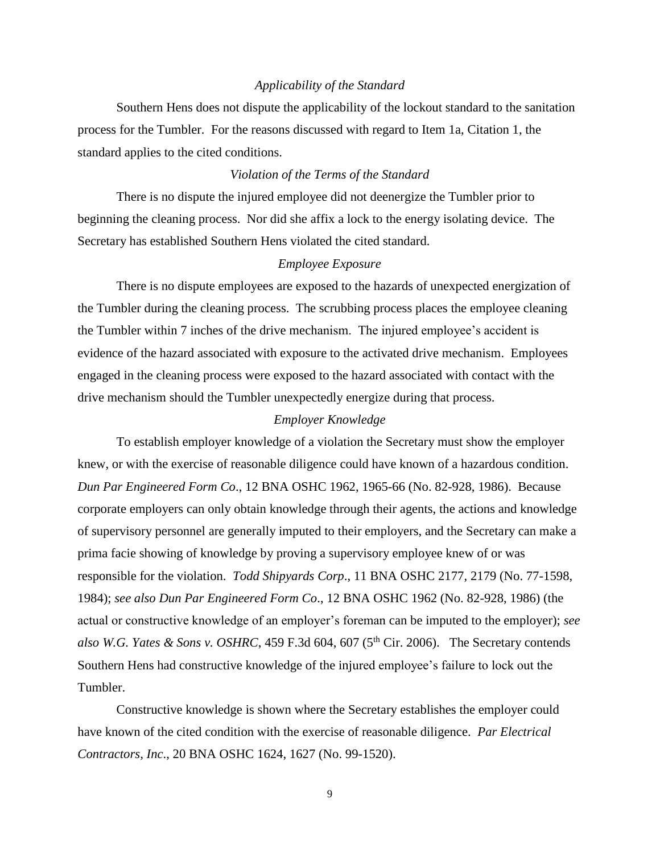#### *Applicability of the Standard*

Southern Hens does not dispute the applicability of the lockout standard to the sanitation process for the Tumbler. For the reasons discussed with regard to Item 1a, Citation 1, the standard applies to the cited conditions.

### *Violation of the Terms of the Standard*

There is no dispute the injured employee did not deenergize the Tumbler prior to beginning the cleaning process. Nor did she affix a lock to the energy isolating device. The Secretary has established Southern Hens violated the cited standard.

#### *Employee Exposure*

There is no dispute employees are exposed to the hazards of unexpected energization of the Tumbler during the cleaning process. The scrubbing process places the employee cleaning the Tumbler within 7 inches of the drive mechanism. The injured employee's accident is evidence of the hazard associated with exposure to the activated drive mechanism. Employees engaged in the cleaning process were exposed to the hazard associated with contact with the drive mechanism should the Tumbler unexpectedly energize during that process.

### *Employer Knowledge*

To establish employer knowledge of a violation the Secretary must show the employer knew, or with the exercise of reasonable diligence could have known of a hazardous condition. *Dun Par Engineered Form Co*., 12 BNA OSHC 1962, 1965-66 (No. 82-928, 1986). Because corporate employers can only obtain knowledge through their agents, the actions and knowledge of supervisory personnel are generally imputed to their employers, and the Secretary can make a prima facie showing of knowledge by proving a supervisory employee knew of or was responsible for the violation. *Todd Shipyards Corp*., 11 BNA OSHC 2177, 2179 (No. 77-1598, 1984); *see also Dun Par Engineered Form Co*., 12 BNA OSHC 1962 (No. 82-928, 1986) (the actual or constructive knowledge of an employer's foreman can be imputed to the employer); *see also W.G. Yates & Sons v. OSHRC*, 459 F.3d 604, 607 ( $5<sup>th</sup> Cir. 2006$ ). The Secretary contends Southern Hens had constructive knowledge of the injured employee's failure to lock out the Tumbler.

Constructive knowledge is shown where the Secretary establishes the employer could have known of the cited condition with the exercise of reasonable diligence. *Par Electrical Contractors, Inc*., 20 BNA OSHC 1624, 1627 (No. 99-1520).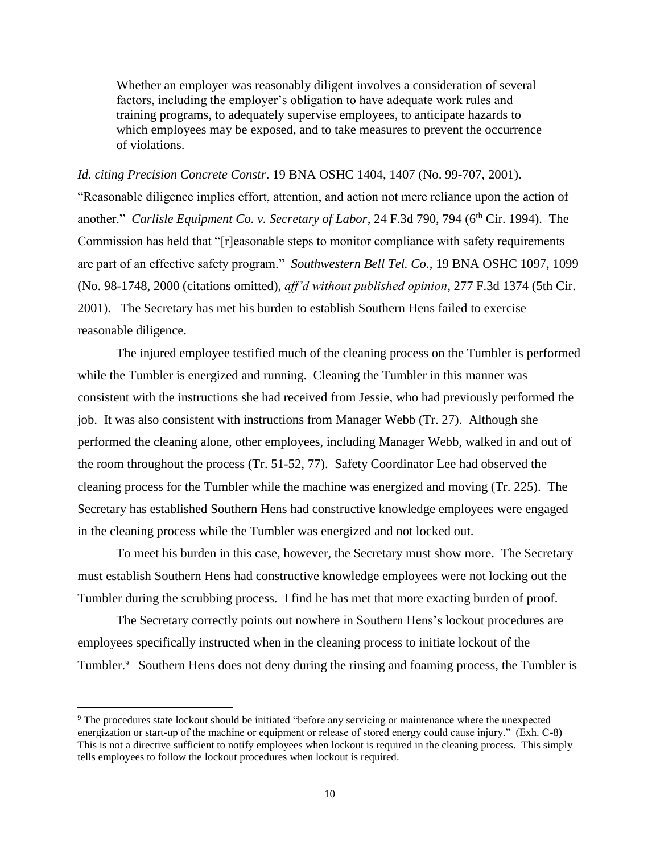Whether an employer was reasonably diligent involves a consideration of several factors, including the employer's obligation to have adequate work rules and training programs, to adequately supervise employees, to anticipate hazards to which employees may be exposed, and to take measures to prevent the occurrence of violations.

*Id. citing Precision Concrete Constr*. 19 BNA OSHC 1404, 1407 (No. 99-707, 2001). "Reasonable diligence implies effort, attention, and action not mere reliance upon the action of another." *Carlisle Equipment Co. v. Secretary of Labor*, 24 F.3d 790, 794 (6<sup>th</sup> Cir. 1994). The Commission has held that "[r]easonable steps to monitor compliance with safety requirements are part of an effective safety program." *Southwestern Bell Tel. Co.*, 19 BNA OSHC 1097, 1099 (No. 98-1748, 2000 (citations omitted), *aff'd without published opinion*, 277 F.3d 1374 (5th Cir. 2001). The Secretary has met his burden to establish Southern Hens failed to exercise reasonable diligence.

The injured employee testified much of the cleaning process on the Tumbler is performed while the Tumbler is energized and running. Cleaning the Tumbler in this manner was consistent with the instructions she had received from Jessie, who had previously performed the job. It was also consistent with instructions from Manager Webb (Tr. 27). Although she performed the cleaning alone, other employees, including Manager Webb, walked in and out of the room throughout the process (Tr. 51-52, 77). Safety Coordinator Lee had observed the cleaning process for the Tumbler while the machine was energized and moving (Tr. 225). The Secretary has established Southern Hens had constructive knowledge employees were engaged in the cleaning process while the Tumbler was energized and not locked out.

To meet his burden in this case, however, the Secretary must show more. The Secretary must establish Southern Hens had constructive knowledge employees were not locking out the Tumbler during the scrubbing process. I find he has met that more exacting burden of proof.

The Secretary correctly points out nowhere in Southern Hens's lockout procedures are employees specifically instructed when in the cleaning process to initiate lockout of the Tumbler.<sup>9</sup> Southern Hens does not deny during the rinsing and foaming process, the Tumbler is

l

<sup>9</sup> The procedures state lockout should be initiated "before any servicing or maintenance where the unexpected energization or start-up of the machine or equipment or release of stored energy could cause injury." (Exh. C-8) This is not a directive sufficient to notify employees when lockout is required in the cleaning process. This simply tells employees to follow the lockout procedures when lockout is required.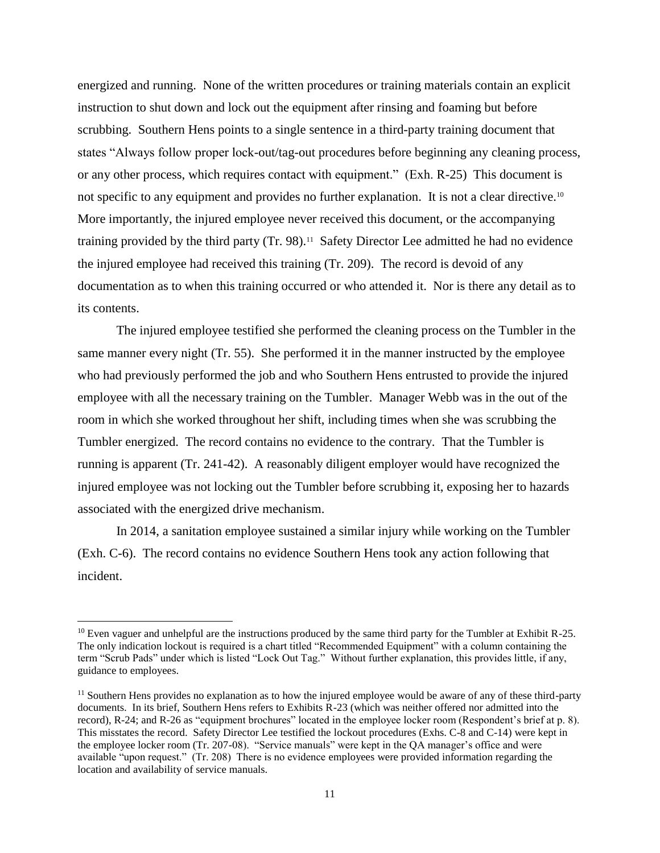energized and running. None of the written procedures or training materials contain an explicit instruction to shut down and lock out the equipment after rinsing and foaming but before scrubbing. Southern Hens points to a single sentence in a third-party training document that states "Always follow proper lock-out/tag-out procedures before beginning any cleaning process, or any other process, which requires contact with equipment." (Exh. R-25) This document is not specific to any equipment and provides no further explanation. It is not a clear directive.<sup>10</sup> More importantly, the injured employee never received this document, or the accompanying training provided by the third party (Tr. 98).<sup>11</sup> Safety Director Lee admitted he had no evidence the injured employee had received this training (Tr. 209). The record is devoid of any documentation as to when this training occurred or who attended it. Nor is there any detail as to its contents.

The injured employee testified she performed the cleaning process on the Tumbler in the same manner every night (Tr. 55). She performed it in the manner instructed by the employee who had previously performed the job and who Southern Hens entrusted to provide the injured employee with all the necessary training on the Tumbler. Manager Webb was in the out of the room in which she worked throughout her shift, including times when she was scrubbing the Tumbler energized. The record contains no evidence to the contrary. That the Tumbler is running is apparent (Tr. 241-42). A reasonably diligent employer would have recognized the injured employee was not locking out the Tumbler before scrubbing it, exposing her to hazards associated with the energized drive mechanism.

In 2014, a sanitation employee sustained a similar injury while working on the Tumbler (Exh. C-6). The record contains no evidence Southern Hens took any action following that incident.

 $\overline{\phantom{a}}$ 

<sup>&</sup>lt;sup>10</sup> Even vaguer and unhelpful are the instructions produced by the same third party for the Tumbler at Exhibit R-25. The only indication lockout is required is a chart titled "Recommended Equipment" with a column containing the term "Scrub Pads" under which is listed "Lock Out Tag." Without further explanation, this provides little, if any, guidance to employees.

<sup>&</sup>lt;sup>11</sup> Southern Hens provides no explanation as to how the injured employee would be aware of any of these third-party documents. In its brief, Southern Hens refers to Exhibits R-23 (which was neither offered nor admitted into the record), R-24; and R-26 as "equipment brochures" located in the employee locker room (Respondent's brief at p. 8). This misstates the record. Safety Director Lee testified the lockout procedures (Exhs. C-8 and C-14) were kept in the employee locker room (Tr. 207-08). "Service manuals" were kept in the QA manager's office and were available "upon request." (Tr. 208) There is no evidence employees were provided information regarding the location and availability of service manuals.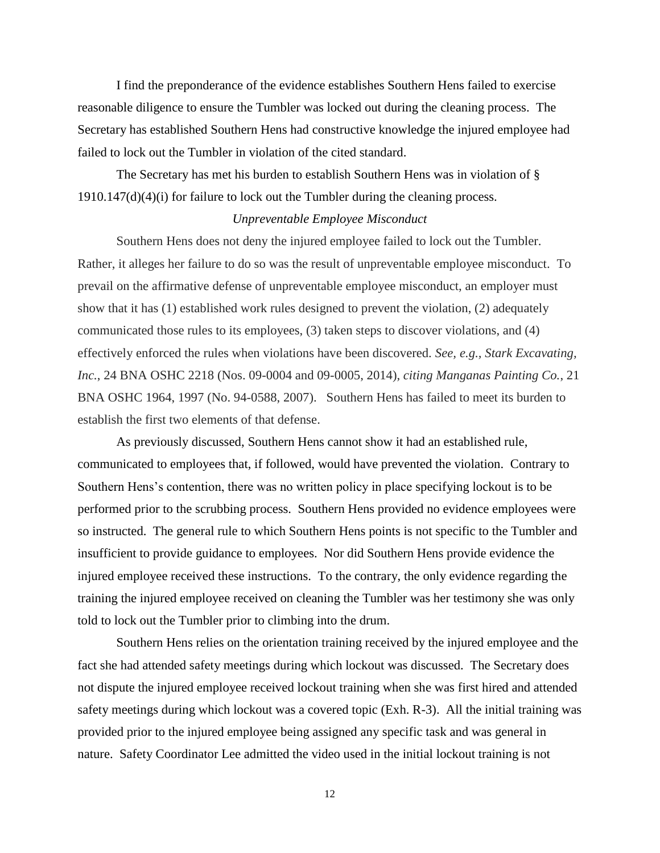I find the preponderance of the evidence establishes Southern Hens failed to exercise reasonable diligence to ensure the Tumbler was locked out during the cleaning process. The Secretary has established Southern Hens had constructive knowledge the injured employee had failed to lock out the Tumbler in violation of the cited standard.

The Secretary has met his burden to establish Southern Hens was in violation of § 1910.147(d)(4)(i) for failure to lock out the Tumbler during the cleaning process.

### *Unpreventable Employee Misconduct*

Southern Hens does not deny the injured employee failed to lock out the Tumbler. Rather, it alleges her failure to do so was the result of unpreventable employee misconduct. To prevail on the affirmative defense of unpreventable employee misconduct, an employer must show that it has (1) established work rules designed to prevent the violation, (2) adequately communicated those rules to its employees, (3) taken steps to discover violations, and (4) effectively enforced the rules when violations have been discovered. *See, e.g., Stark Excavating, Inc.*, 24 BNA OSHC 2218 (Nos. 09-0004 and 09-0005, 2014), *citing Manganas Painting Co.*, 21 BNA OSHC 1964, 1997 (No. 94-0588, 2007). Southern Hens has failed to meet its burden to establish the first two elements of that defense.

As previously discussed, Southern Hens cannot show it had an established rule, communicated to employees that, if followed, would have prevented the violation. Contrary to Southern Hens's contention, there was no written policy in place specifying lockout is to be performed prior to the scrubbing process. Southern Hens provided no evidence employees were so instructed. The general rule to which Southern Hens points is not specific to the Tumbler and insufficient to provide guidance to employees. Nor did Southern Hens provide evidence the injured employee received these instructions. To the contrary, the only evidence regarding the training the injured employee received on cleaning the Tumbler was her testimony she was only told to lock out the Tumbler prior to climbing into the drum.

Southern Hens relies on the orientation training received by the injured employee and the fact she had attended safety meetings during which lockout was discussed. The Secretary does not dispute the injured employee received lockout training when she was first hired and attended safety meetings during which lockout was a covered topic (Exh. R-3). All the initial training was provided prior to the injured employee being assigned any specific task and was general in nature. Safety Coordinator Lee admitted the video used in the initial lockout training is not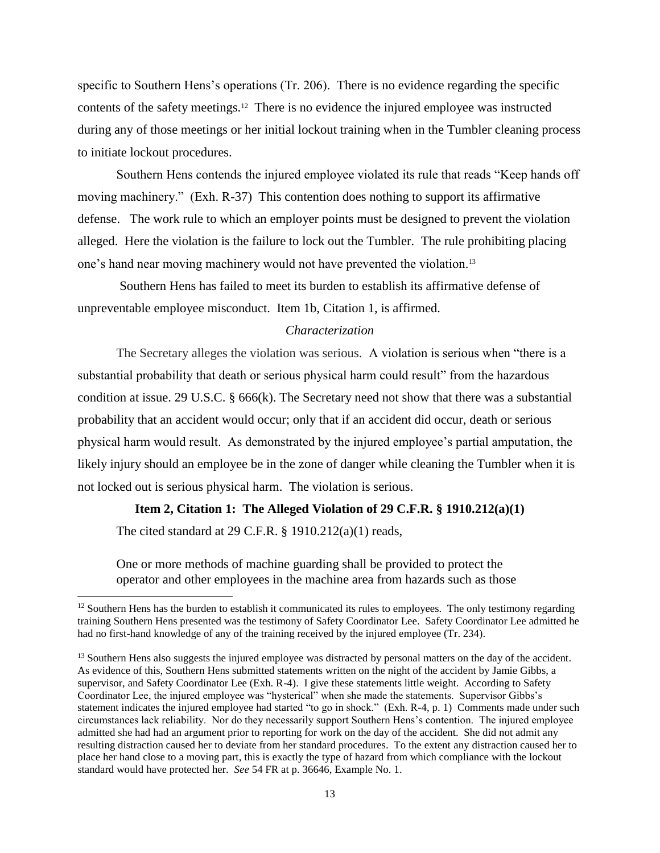specific to Southern Hens's operations (Tr. 206). There is no evidence regarding the specific contents of the safety meetings.<sup>12</sup> There is no evidence the injured employee was instructed during any of those meetings or her initial lockout training when in the Tumbler cleaning process to initiate lockout procedures.

Southern Hens contends the injured employee violated its rule that reads "Keep hands off moving machinery." (Exh. R-37) This contention does nothing to support its affirmative defense. The work rule to which an employer points must be designed to prevent the violation alleged. Here the violation is the failure to lock out the Tumbler. The rule prohibiting placing one's hand near moving machinery would not have prevented the violation.<sup>13</sup>

Southern Hens has failed to meet its burden to establish its affirmative defense of unpreventable employee misconduct. Item 1b, Citation 1, is affirmed.

#### *Characterization*

The Secretary alleges the violation was serious. A violation is serious when "there is a substantial probability that death or serious physical harm could result" from the hazardous condition at issue. [29 U.S.C. § 666\(k\).](https://a.next.westlaw.com/Link/Document/FullText?findType=L&pubNum=1000546&cite=29USCAS666&originatingDoc=I506d03ad178f11e2b60bb297d3d07bc5&refType=RB&originationContext=document&transitionType=DocumentItem&contextData=(sc.Search)#co_pp_340a00009b6f3) The Secretary need not show that there was a substantial probability that an accident would occur; only that if an accident did occur, death or serious physical harm would result. As demonstrated by the injured employee's partial amputation, the likely injury should an employee be in the zone of danger while cleaning the Tumbler when it is not locked out is serious physical harm. The violation is serious.

#### **Item 2, Citation 1: The Alleged Violation of 29 C.F.R. § 1910.212(a)(1)**

The cited standard at  $29$  C.F.R.  $\S$  1910.212(a)(1) reads,

 $\overline{a}$ 

One or more methods of machine guarding shall be provided to protect the operator and other employees in the machine area from hazards such as those

<sup>&</sup>lt;sup>12</sup> Southern Hens has the burden to establish it communicated its rules to employees. The only testimony regarding training Southern Hens presented was the testimony of Safety Coordinator Lee. Safety Coordinator Lee admitted he had no first-hand knowledge of any of the training received by the injured employee (Tr. 234).

<sup>&</sup>lt;sup>13</sup> Southern Hens also suggests the injured employee was distracted by personal matters on the day of the accident. As evidence of this, Southern Hens submitted statements written on the night of the accident by Jamie Gibbs, a supervisor, and Safety Coordinator Lee (Exh. R-4). I give these statements little weight. According to Safety Coordinator Lee, the injured employee was "hysterical" when she made the statements. Supervisor Gibbs's statement indicates the injured employee had started "to go in shock." (Exh. R-4, p. 1) Comments made under such circumstances lack reliability. Nor do they necessarily support Southern Hens's contention. The injured employee admitted she had had an argument prior to reporting for work on the day of the accident. She did not admit any resulting distraction caused her to deviate from her standard procedures. To the extent any distraction caused her to place her hand close to a moving part, this is exactly the type of hazard from which compliance with the lockout standard would have protected her. *See* 54 FR at p. 36646, Example No. 1.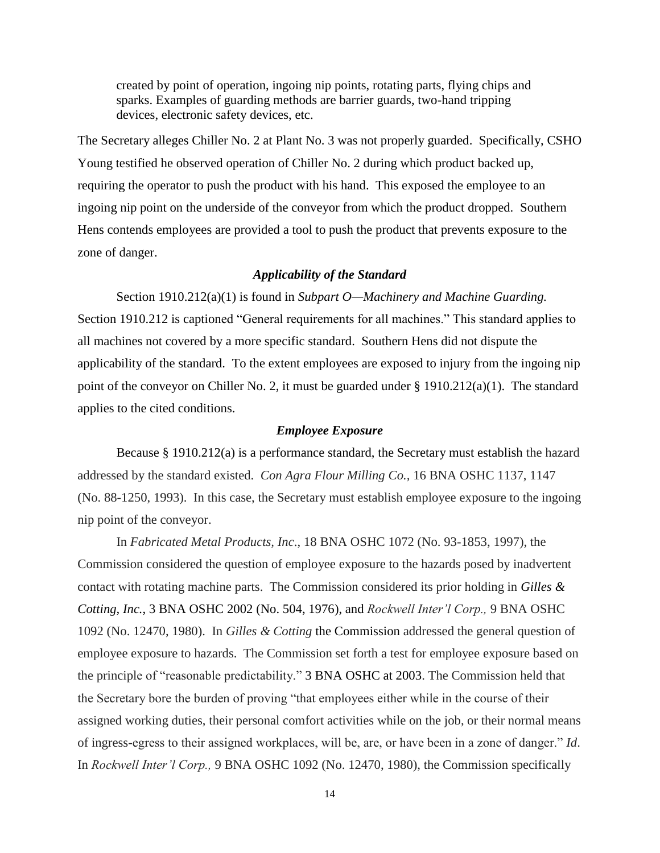created by point of operation, ingoing nip points, rotating parts, flying chips and sparks. Examples of guarding methods are barrier guards, two-hand tripping devices, electronic safety devices, etc.

The Secretary alleges Chiller No. 2 at Plant No. 3 was not properly guarded. Specifically, CSHO Young testified he observed operation of Chiller No. 2 during which product backed up, requiring the operator to push the product with his hand. This exposed the employee to an ingoing nip point on the underside of the conveyor from which the product dropped. Southern Hens contends employees are provided a tool to push the product that prevents exposure to the zone of danger.

### *Applicability of the Standard*

Section 1910.212(a)(1) is found in *Subpart O—Machinery and Machine Guarding.*  Section 1910.212 is captioned "General requirements for all machines." This standard applies to all machines not covered by a more specific standard. Southern Hens did not dispute the applicability of the standard. To the extent employees are exposed to injury from the ingoing nip point of the conveyor on Chiller No. 2, it must be guarded under § 1910.212(a)(1). The standard applies to the cited conditions.

#### *Employee Exposure*

Because § 1910.212(a) is a performance standard, the Secretary must establish the hazard addressed by the standard existed. *Con Agra Flour Milling Co.,* 16 BNA OSHC 1137, 1147 (No. 88-1250, 1993). In this case, the Secretary must establish employee exposure to the ingoing nip point of the conveyor.

In *Fabricated Metal Products, Inc*., 18 BNA OSHC 1072 (No. 93-1853, 1997), the Commission considered the question of employee exposure to the hazards posed by inadvertent contact with rotating machine parts. The Commission considered its prior holding in *[Gilles &](https://a.next.westlaw.com/Link/Document/FullText?findType=Y&serNum=1976160848&pubNum=0003227&originatingDoc=I516ba56887d911e5a807ad48145ed9f1&refType=CA&originationContext=document&transitionType=DocumentItem&contextData=(sc.Search))  Cotting, Inc.*[, 3 BNA OSHC 2002 \(No. 504, 1976\),](https://a.next.westlaw.com/Link/Document/FullText?findType=Y&serNum=1976160848&pubNum=0003227&originatingDoc=I516ba56887d911e5a807ad48145ed9f1&refType=CA&originationContext=document&transitionType=DocumentItem&contextData=(sc.Search)) and *Rockwell Inter'l Corp.,* 9 BNA OSHC 1092 (No. 12470, 1980). In *Gilles & Cotting* the Commission addressed the general question of employee exposure to hazards. The Commission set forth a test for employee exposure based on the principle of "reasonable predictability." [3 BNA OSHC at 2003.](https://a.next.westlaw.com/Link/Document/FullText?findType=Y&serNum=1976160848&pubNum=0003227&originatingDoc=I516ba56887d911e5a807ad48145ed9f1&refType=CA&fi=co_pp_sp_3227_2003&originationContext=document&transitionType=DocumentItem&contextData=(sc.Search)#co_pp_sp_3227_2003) The Commission held that the Secretary bore the burden of proving "that employees either while in the course of their assigned working duties, their personal comfort activities while on the job, or their normal means of ingress-egress to their assigned workplaces, will be, are, or have been in a zone of danger." *Id*. In *Rockwell Inter'l Corp.,* 9 BNA OSHC 1092 (No. 12470, 1980), the Commission specifically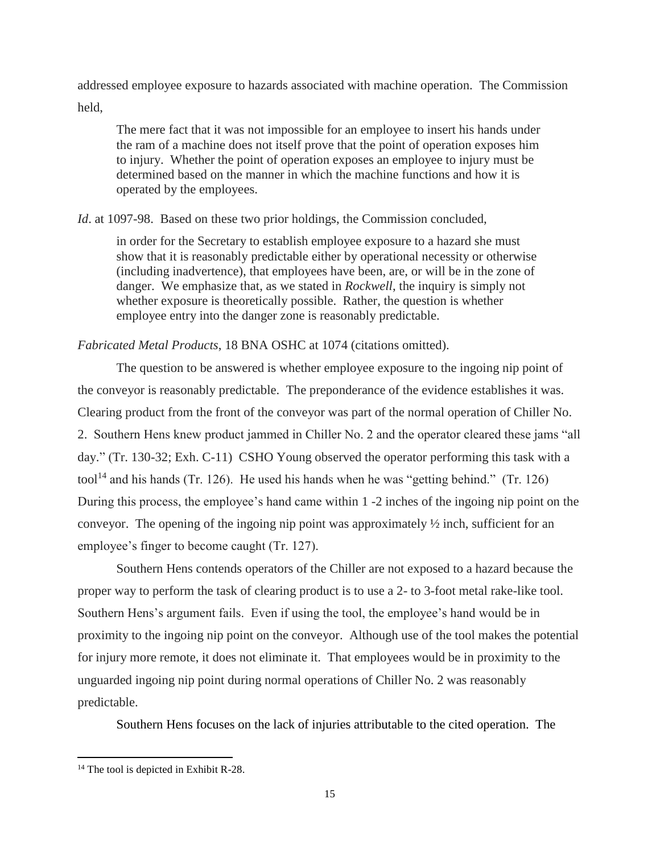addressed employee exposure to hazards associated with machine operation. The Commission held,

The mere fact that it was not impossible for an employee to insert his hands under the ram of a machine does not itself prove that the point of operation exposes him to injury. Whether the point of operation exposes an employee to injury must be determined based on the manner in which the machine functions and how it is operated by the employees.

*Id.* at 1097-98. Based on these two prior holdings, the Commission concluded,

in order for the Secretary to establish employee exposure to a hazard she must show that it is reasonably predictable either by operational necessity or otherwise (including inadvertence), that employees have been, are, or will be in the zone of danger. We emphasize that, as we stated in *Rockwell*, the inquiry is simply not whether exposure is theoretically possible. Rather, the question is whether employee entry into the danger zone is reasonably predictable.

*Fabricated Metal Products*, 18 BNA OSHC at 1074 (citations omitted).

The question to be answered is whether employee exposure to the ingoing nip point of the conveyor is reasonably predictable. The preponderance of the evidence establishes it was. Clearing product from the front of the conveyor was part of the normal operation of Chiller No. 2. Southern Hens knew product jammed in Chiller No. 2 and the operator cleared these jams "all day." (Tr. 130-32; Exh. C-11) CSHO Young observed the operator performing this task with a tool<sup>14</sup> and his hands (Tr. 126). He used his hands when he was "getting behind." (Tr. 126) During this process, the employee's hand came within 1 -2 inches of the ingoing nip point on the conveyor. The opening of the ingoing nip point was approximately  $\frac{1}{2}$  inch, sufficient for an employee's finger to become caught (Tr. 127).

Southern Hens contends operators of the Chiller are not exposed to a hazard because the proper way to perform the task of clearing product is to use a 2- to 3-foot metal rake-like tool. Southern Hens's argument fails. Even if using the tool, the employee's hand would be in proximity to the ingoing nip point on the conveyor. Although use of the tool makes the potential for injury more remote, it does not eliminate it. That employees would be in proximity to the unguarded ingoing nip point during normal operations of Chiller No. 2 was reasonably predictable.

Southern Hens focuses on the lack of injuries attributable to the cited operation. The

 $\overline{\phantom{a}}$ 

 $14$  The tool is depicted in Exhibit R-28.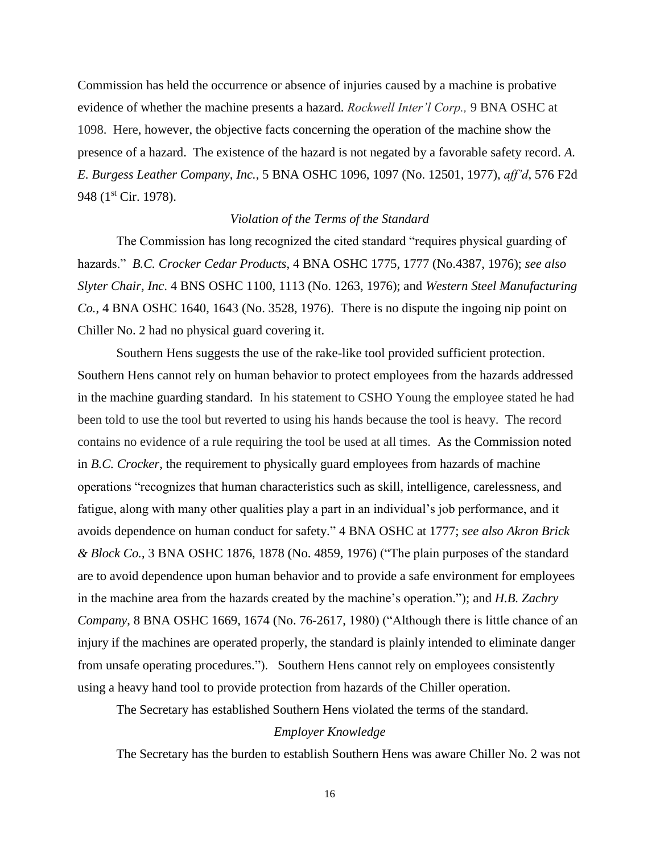Commission has held the occurrence or absence of injuries caused by a machine is probative evidence of whether the machine presents a hazard. *Rockwell Inter'l Corp.,* 9 BNA OSHC at 1098. Here, however, the objective facts concerning the operation of the machine show the presence of a hazard. The existence of the hazard is not negated by a favorable safety record. *[A.](http://www.westlaw.com/Link/Document/FullText?findType=Y&serNum=1977165677&pubNum=0003227&originatingDoc=Idfcbd0b6234a11dbb0d3b726c66cf290&refType=CA&fi=co_pp_sp_3227_1097&originationContext=document&vr=3.0&rs=cblt1.0&transitionType=DocumentItem&contextData=(sc.Search)#co_pp_sp_3227_1097)  E. Burgess Leather Company, Inc.*[, 5 BNA OSHC 1096, 1097 \(No. 12501, 1977\),](http://www.westlaw.com/Link/Document/FullText?findType=Y&serNum=1977165677&pubNum=0003227&originatingDoc=Idfcbd0b6234a11dbb0d3b726c66cf290&refType=CA&fi=co_pp_sp_3227_1097&originationContext=document&vr=3.0&rs=cblt1.0&transitionType=DocumentItem&contextData=(sc.Search)#co_pp_sp_3227_1097) *aff'd*, [576 F2d](http://www.westlaw.com/Link/Document/FullText?findType=Y&serNum=1978118790&pubNum=350&originatingDoc=Idfcbd0b6234a11dbb0d3b726c66cf290&refType=RP&originationContext=document&vr=3.0&rs=cblt1.0&transitionType=DocumentItem&contextData=(sc.Search))  948 (1<sup>st</sup> [Cir. 1978\).](http://www.westlaw.com/Link/Document/FullText?findType=Y&serNum=1978118790&pubNum=350&originatingDoc=Idfcbd0b6234a11dbb0d3b726c66cf290&refType=RP&originationContext=document&vr=3.0&rs=cblt1.0&transitionType=DocumentItem&contextData=(sc.Search))

### *Violation of the Terms of the Standard*

The Commission has long recognized the cited standard "requires physical guarding of hazards." *B.C. Crocker Cedar Products*, 4 BNA OSHC 1775, 1777 (No.4387, 1976); *see also Slyter Chair, Inc*. 4 BNS OSHC 1100, 1113 (No. 1263, 1976); and *Western Steel Manufacturing Co.*, 4 BNA OSHC 1640, 1643 (No. 3528, 1976). There is no dispute the ingoing nip point on Chiller No. 2 had no physical guard covering it.

Southern Hens suggests the use of the rake-like tool provided sufficient protection. Southern Hens cannot rely on human behavior to protect employees from the hazards addressed in the machine guarding standard. In his statement to CSHO Young the employee stated he had been told to use the tool but reverted to using his hands because the tool is heavy. The record contains no evidence of a rule requiring the tool be used at all times. As the Commission noted in *B.C. Crocker*, the requirement to physically guard employees from hazards of machine operations "recognizes that human characteristics such as skill, intelligence, carelessness, and fatigue, along with many other qualities play a part in an individual's job performance, and it avoids dependence on human conduct for safety." 4 BNA OSHC at 1777; *see also Akron Brick & Block Co.*, 3 BNA OSHC 1876, 1878 (No. 4859, 1976) ("The plain purposes of the standard are to avoid dependence upon human behavior and to provide a safe environment for employees in the machine area from the hazards created by the machine's operation."); and *H.B. Zachry Company*, 8 BNA OSHC 1669, 1674 (No. 76-2617, 1980) ("Although there is little chance of an injury if the machines are operated properly, the standard is plainly intended to eliminate danger from unsafe operating procedures."). Southern Hens cannot rely on employees consistently using a heavy hand tool to provide protection from hazards of the Chiller operation.

The Secretary has established Southern Hens violated the terms of the standard.

## *Employer Knowledge*

The Secretary has the burden to establish Southern Hens was aware Chiller No. 2 was not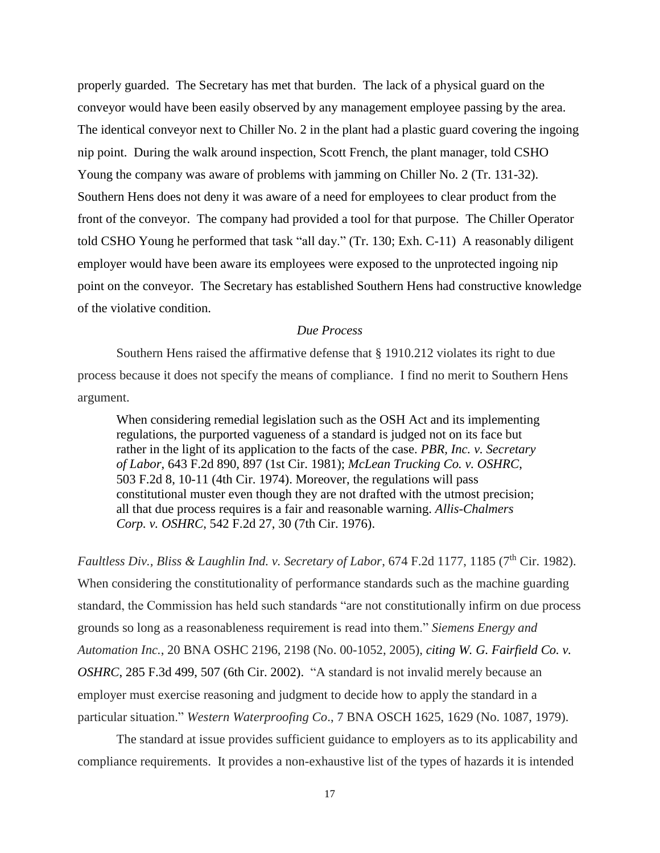properly guarded. The Secretary has met that burden. The lack of a physical guard on the conveyor would have been easily observed by any management employee passing by the area. The identical conveyor next to Chiller No. 2 in the plant had a plastic guard covering the ingoing nip point. During the walk around inspection, Scott French, the plant manager, told CSHO Young the company was aware of problems with jamming on Chiller No. 2 (Tr. 131-32). Southern Hens does not deny it was aware of a need for employees to clear product from the front of the conveyor. The company had provided a tool for that purpose. The Chiller Operator told CSHO Young he performed that task "all day." (Tr. 130; Exh. C-11) A reasonably diligent employer would have been aware its employees were exposed to the unprotected ingoing nip point on the conveyor. The Secretary has established Southern Hens had constructive knowledge of the violative condition.

#### *Due Process*

Southern Hens raised the affirmative defense that § 1910.212 violates its right to due process because it does not specify the means of compliance. I find no merit to Southern Hens argument.

When considering remedial legislation such as the OSH Act and its implementing regulations, the purported vagueness of a standard is judged not on its face but rather in the light of its application to the facts of the case. *[PBR, Inc. v. Secretary](https://1.next.westlaw.com/Link/Document/FullText?findType=Y&serNum=1981110841&pubNum=0000350&originatingDoc=I6ecd17b392de11d993e6d35cc61aab4a&refType=RP&fi=co_pp_sp_350_897&originationContext=document&transitionType=DocumentItem&contextData=(sc.DocLink)#co_pp_sp_350_897)  of Labor*, [643 F.2d 890, 897 \(1st Cir. 1981\);](https://1.next.westlaw.com/Link/Document/FullText?findType=Y&serNum=1981110841&pubNum=0000350&originatingDoc=I6ecd17b392de11d993e6d35cc61aab4a&refType=RP&fi=co_pp_sp_350_897&originationContext=document&transitionType=DocumentItem&contextData=(sc.DocLink)#co_pp_sp_350_897) *[McLean Trucking Co. v. OSHRC](https://1.next.westlaw.com/Link/Document/FullText?findType=Y&serNum=1974111995&pubNum=0000350&originatingDoc=I6ecd17b392de11d993e6d35cc61aab4a&refType=RP&fi=co_pp_sp_350_10&originationContext=document&transitionType=DocumentItem&contextData=(sc.DocLink)#co_pp_sp_350_10)*, [503 F.2d 8, 10-11 \(4th Cir. 1974\).](https://1.next.westlaw.com/Link/Document/FullText?findType=Y&serNum=1974111995&pubNum=0000350&originatingDoc=I6ecd17b392de11d993e6d35cc61aab4a&refType=RP&fi=co_pp_sp_350_10&originationContext=document&transitionType=DocumentItem&contextData=(sc.DocLink)#co_pp_sp_350_10) Moreover, the regulations will pass constitutional muster even though they are not drafted with the utmost precision; all that due process requires is a fair and reasonable warning. *[Allis-Chalmers](https://1.next.westlaw.com/Link/Document/FullText?findType=Y&serNum=1976124772&pubNum=0000350&originatingDoc=I6ecd17b392de11d993e6d35cc61aab4a&refType=RP&fi=co_pp_sp_350_30&originationContext=document&transitionType=DocumentItem&contextData=(sc.DocLink)#co_pp_sp_350_30)  Corp. v. OSHRC*[, 542 F.2d 27, 30 \(7th Cir. 1976\).](https://1.next.westlaw.com/Link/Document/FullText?findType=Y&serNum=1976124772&pubNum=0000350&originatingDoc=I6ecd17b392de11d993e6d35cc61aab4a&refType=RP&fi=co_pp_sp_350_30&originationContext=document&transitionType=DocumentItem&contextData=(sc.DocLink)#co_pp_sp_350_30)

*Faultless Div., Bliss & Laughlin Ind. v. Secretary of Labor, 674 F.2d 1177, 1185 (7<sup>th</sup> Cir. 1982).* When considering the constitutionality of performance standards such as the machine guarding standard, the Commission has held such standards "are not constitutionally infirm on due process grounds so long as a reasonableness requirement is read into them." *Siemens Energy and Automation Inc.*, 20 BNA OSHC 2196, 2198 (No. 00-1052, 2005), *citing [W. G. Fairfield Co. v.](https://1.next.westlaw.com/Link/Document/FullText?findType=Y&serNum=2002219915&pubNum=506&originatingDoc=Iec8e1f76fa3811d9bf60c1d57ebc853e&refType=RP&fi=co_pp_sp_506_507&originationContext=document&transitionType=DocumentItem&contextData=(sc.DocLink)#co_pp_sp_506_507)  OSHRC*[, 285 F.3d 499, 507 \(6th Cir. 2002\).](https://1.next.westlaw.com/Link/Document/FullText?findType=Y&serNum=2002219915&pubNum=506&originatingDoc=Iec8e1f76fa3811d9bf60c1d57ebc853e&refType=RP&fi=co_pp_sp_506_507&originationContext=document&transitionType=DocumentItem&contextData=(sc.DocLink)#co_pp_sp_506_507) "A standard is not invalid merely because an employer must exercise reasoning and judgment to decide how to apply the standard in a particular situation." *Western Waterproofing Co*., 7 BNA OSCH 1625, 1629 (No. 1087, 1979).

The standard at issue provides sufficient guidance to employers as to its applicability and compliance requirements. It provides a non-exhaustive list of the types of hazards it is intended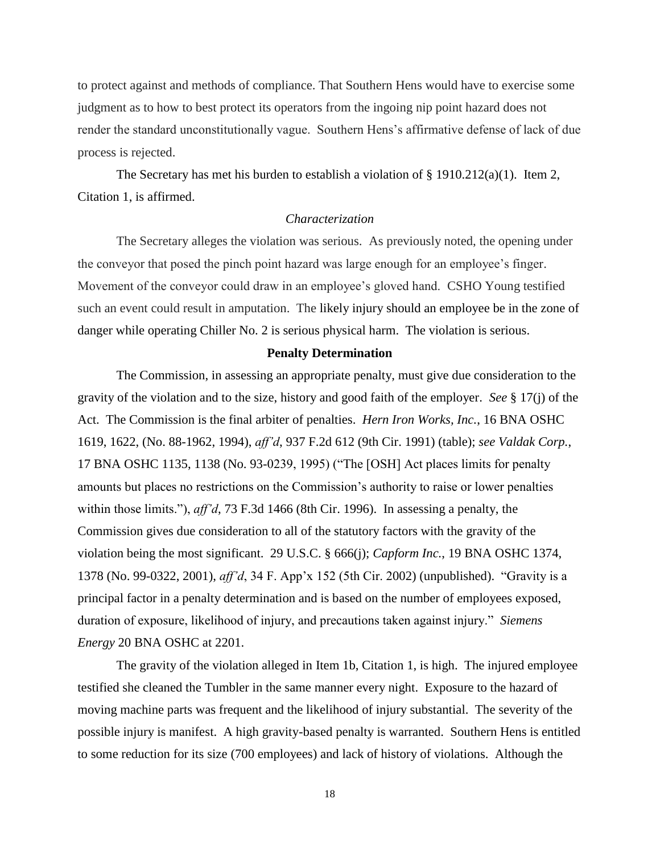to protect against and methods of compliance. That Southern Hens would have to exercise some judgment as to how to best protect its operators from the ingoing nip point hazard does not render the standard unconstitutionally vague. Southern Hens's affirmative defense of lack of due process is rejected.

The Secretary has met his burden to establish a violation of § 1910.212(a)(1). Item 2, Citation 1, is affirmed.

### *Characterization*

The Secretary alleges the violation was serious. As previously noted, the opening under the conveyor that posed the pinch point hazard was large enough for an employee's finger. Movement of the conveyor could draw in an employee's gloved hand. CSHO Young testified such an event could result in amputation. The likely injury should an employee be in the zone of danger while operating Chiller No. 2 is serious physical harm. The violation is serious.

#### **Penalty Determination**

The Commission, in assessing an appropriate penalty, must give due consideration to the gravity of the violation and to the size, history and good faith of the employer. *See* § 17(j) of the Act. The Commission is the final arbiter of penalties. *Hern Iron Works, Inc.*, 16 BNA OSHC 1619, 1622, (No. 88-1962, 1994), *aff'd*, 937 F.2d 612 (9th Cir. 1991) (table); *see Valdak Corp.*, 17 BNA OSHC 1135, 1138 (No. 93-0239, 1995) ("The [OSH] Act places limits for penalty amounts but places no restrictions on the Commission's authority to raise or lower penalties within those limits."), *aff'd*, 73 F.3d 1466 (8th Cir. 1996). In assessing a penalty, the Commission gives due consideration to all of the statutory factors with the gravity of the violation being the most significant. 29 U.S.C. § 666(j); *Capform Inc.*, 19 BNA OSHC 1374, 1378 (No. 99-0322, 2001), *aff'd*, 34 F. App'x 152 (5th Cir. 2002) (unpublished). "Gravity is a principal factor in a penalty determination and is based on the number of employees exposed, duration of exposure, likelihood of injury, and precautions taken against injury." *Siemens Energy* 20 BNA OSHC at 2201.

The gravity of the violation alleged in Item 1b, Citation 1, is high. The injured employee testified she cleaned the Tumbler in the same manner every night. Exposure to the hazard of moving machine parts was frequent and the likelihood of injury substantial. The severity of the possible injury is manifest. A high gravity-based penalty is warranted. Southern Hens is entitled to some reduction for its size (700 employees) and lack of history of violations. Although the